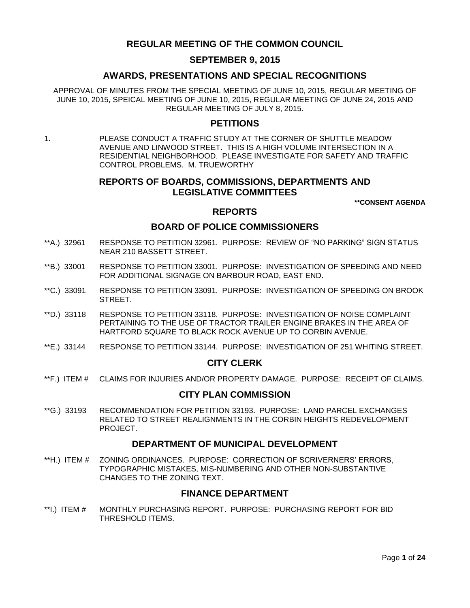# **REGULAR MEETING OF THE COMMON COUNCIL**

## **SEPTEMBER 9, 2015**

# **AWARDS, PRESENTATIONS AND SPECIAL RECOGNITIONS**

APPROVAL OF MINUTES FROM THE SPECIAL MEETING OF JUNE 10, 2015, REGULAR MEETING OF JUNE 10, 2015, SPEICAL MEETING OF JUNE 10, 2015, REGULAR MEETING OF JUNE 24, 2015 AND REGULAR MEETING OF JULY 8, 2015.

## **PETITIONS**

1. PLEASE CONDUCT A TRAFFIC STUDY AT THE CORNER OF SHUTTLE MEADOW AVENUE AND LINWOOD STREET. THIS IS A HIGH VOLUME INTERSECTION IN A RESIDENTIAL NEIGHBORHOOD. PLEASE INVESTIGATE FOR SAFETY AND TRAFFIC CONTROL PROBLEMS. M. TRUEWORTHY

# **REPORTS OF BOARDS, COMMISSIONS, DEPARTMENTS AND LEGISLATIVE COMMITTEES**

**\*\*CONSENT AGENDA**

## **REPORTS**

## **BOARD OF POLICE COMMISSIONERS**

- \*\*A.) 32961 [RESPONSE TO PETITION 32961. PURPOSE: REVIEW OF "NO PARKING" SIGN STATUS](#page-3-0)  [NEAR 210 BASSETT STREET.](#page-3-0)
- \*\*B.) 33001 [RESPONSE TO PETITION 33001. PURPOSE: INVESTIGATION OF SPEEDING AND NEED](#page-3-1)  [FOR ADDITIONAL SIGNAGE ON BARBOUR ROAD, EAST END.](#page-3-1)
- \*\*C.) 33091 [RESPONSE TO PETITION 33091. PURPOSE: INVESTIGATION OF SPEEDING ON BROOK](#page-4-0)  [STREET.](#page-4-0)
- \*\*D.) 33118 [RESPONSE TO PETITION 33118. PURPOSE: INVESTIGATION OF NOISE COMPLAINT](#page-4-1)  [PERTAINING TO THE USE OF TRACTOR TRAILER ENGINE BRAKES IN THE AREA OF](#page-4-1)  [HARTFORD SQUARE TO BLACK ROCK AVENUE UP TO CORBIN AVENUE.](#page-4-1)
- \*\*E.) 33144 [RESPONSE TO PETITION 33144. PURPOSE: INVESTIGATION OF 251 WHITING STREET.](#page-5-0)

## **CITY CLERK**

\*\*F.) ITEM # [CLAIMS FOR INJURIES AND/OR PROPERTY DAMAGE. PURPOSE: RECEIPT OF CLAIMS.](#page-5-1)

## **CITY PLAN COMMISSION**

\*\*G.) 33193 [RECOMMENDATION FOR PETITION 33193. PURPOSE: LAND PARCEL EXCHANGES](#page-5-2)  [RELATED TO STREET REALIGNMENTS IN THE CORBIN HEIGHTS REDEVELOPMENT](#page-5-2)  [PROJECT.](#page-5-2)

## **DEPARTMENT OF MUNICIPAL DEVELOPMENT**

\*\*H.) ITEM # [ZONING ORDINANCES. PURPOSE: CORRECTION OF SCRIVERNERS' ERRORS,](#page-6-0)  [TYPOGRAPHIC MISTAKES, MIS-NUMBERING AND OTHER NON-SUBSTANTIVE](#page-6-0)  [CHANGES TO THE ZONING TEXT.](#page-6-0) 

# **FINANCE DEPARTMENT**

\*\*I.) ITEM # [MONTHLY PURCHASING REPORT. PURPOSE: PURCHASING REPORT FOR BID](#page-7-0)  [THRESHOLD ITEMS.](#page-7-0)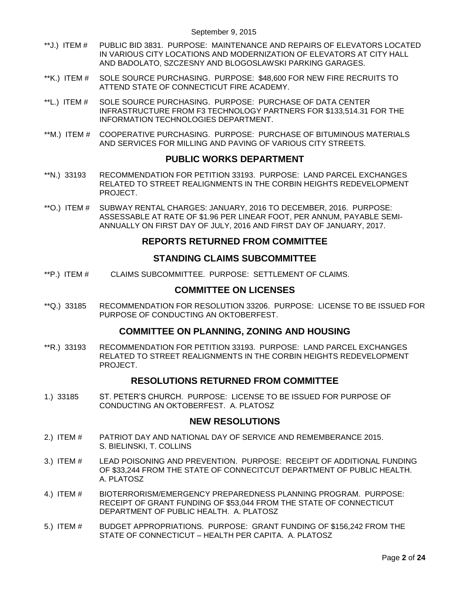- \*\*J.) ITEM # [PUBLIC BID 3831. PURPOSE: MAINTENANCE AND REPAIRS OF ELEVATORS LOCATED](#page-7-1)  IN VARIOUS [CITY LOCATIONS AND MODERNIZATION OF ELEVATORS AT CITY HALL](#page-7-1)  [AND BADOLATO, SZCZESNY AND BLOGOSLAWSKI PARKING GARAGES.](#page-7-1)
- \*\*K.) ITEM # [SOLE SOURCE PURCHASING. PURPOSE: \\$48,600 FOR NEW FIRE RECRUITS TO](#page-8-0)  [ATTEND STATE OF CONNECTICUT FIRE](#page-8-0) ACADEMY.
- \*\*L.) ITEM # [SOLE SOURCE PURCHASING. PURPOSE: PURCHASE OF DATA CENTER](#page-9-0)  [INFRASTRUCTURE FROM F3 TECHNOLOGY PARTNERS FOR \\$133,514.31 FOR THE](#page-9-0)  [INFORMATION TECHNOLOGIES DEPARTMENT.](#page-9-0)
- \*\*M.) ITEM # [COOPERATIVE PURCHASING. PURPOSE: PURCHASE OF BITUMINOUS MATERIALS](#page-10-0)  AND SERVICES [FOR MILLING AND PAVING OF VARIOUS CITY STREETS.](#page-10-0)

## **PUBLIC WORKS DEPARTMENT**

- \*\*N.) 33193 [RECOMMENDATION FOR PETITION 33193. PURPOSE: LAND PARCEL EXCHANGES](#page-11-0)  [RELATED TO STREET REALIGNMENTS IN THE CORBIN HEIGHTS REDEVELOPMENT](#page-11-0)  [PROJECT.](#page-11-0)
- \*\*O.) ITEM # [SUBWAY RENTAL CHARGES: JANUARY, 2016 TO DECEMBER, 2016. PURPOSE:](#page-11-1)  [ASSESSABLE AT RATE OF \\$1.96 PER LINEAR FOOT, PER ANNUM, PAYABLE SEMI-](#page-11-1)[ANNUALLY ON FIRST DAY OF JULY, 2016](#page-11-1) AND FIRST DAY OF JANUARY, 2017.

## **REPORTS RETURNED FROM COMMITTEE**

## **STANDING CLAIMS SUBCOMMITTEE**

\*\*P.) ITEM # [CLAIMS SUBCOMMITTEE. PURPOSE: SETTLEMENT OF CLAIMS.](#page-11-2)

## **COMMITTEE ON LICENSES**

\*\*Q.) 33185 [RECOMMENDATION FOR RESOLUTION 33206. PURPOSE: LICENSE TO BE ISSUED FOR](#page-12-0)  [PURPOSE OF CONDUCTING AN OKTOBERFEST.](#page-12-0)

# **COMMITTEE ON PLANNING, ZONING AND HOUSING**

\*\*R.) 33193 [RECOMMENDATION FOR PETITION 33193. PURPOSE: LAND PARCEL EXCHANGES](#page-12-1)  [RELATED TO STREET REALIGNMENTS IN THE CORBIN HEIGHTS REDEVELOPMENT](#page-12-1)  [PROJECT.](#page-12-1)

## **RESOLUTIONS RETURNED FROM COMMITTEE**

1.) 33185 [ST. PETER'S CHURCH. PURPOSE: LICENSE TO BE ISSUED FOR PURPOSE OF](#page-12-2)  [CONDUCTING AN OKTOBERFEST. A. PLATOSZ](#page-12-2)

## **NEW RESOLUTIONS**

- 2.) ITEM # [PATRIOT DAY AND NATIONAL DAY OF SERVICE AND REMEMBERANCE 2015.](#page-13-0) [S. BIELINSKI, T. COLLINS](#page-13-0)
- 3.) ITEM # [LEAD POISONING AND PREVENTION. PURPOSE: RECEIPT OF ADDITIONAL FUNDING](#page-13-1) OF \$33,244 [FROM THE STATE OF CONNECITCUT DEPARTMENT OF PUBLIC HEALTH.](#page-13-1)  [A. PLATOSZ](#page-13-1)
- 4.) ITEM # [BIOTERRORISM/EMERGENCY PREPAREDNESS PLANNING PROGRAM. PURPOSE:](#page-14-0)  [RECEIPT OF GRANT FUNDING OF \\$53,044 FROM THE STATE OF CONNECTICUT](#page-14-0)  [DEPARTMENT OF PUBLIC HEALTH. A. PLATOSZ](#page-14-0)
- 5.) ITEM # [BUDGET APPROPRIATIONS. PURPOSE: GRANT FUNDING OF \\$156,242 FROM THE](#page-15-0)  STATE OF CONNECTICUT – [HEALTH PER CAPITA. A. PLATOSZ](#page-15-0)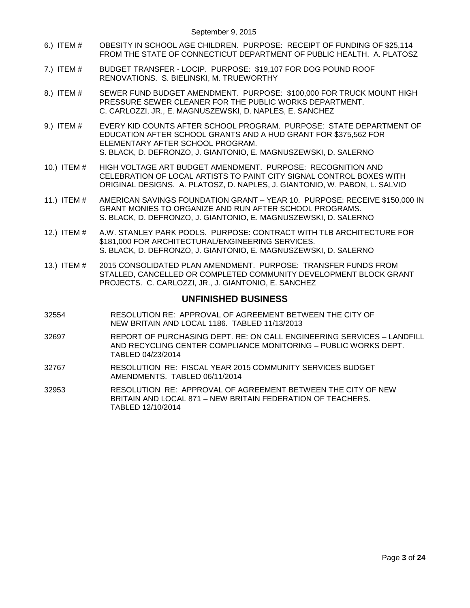- 6.) ITEM # [OBESITY IN SCHOOL AGE CHILDREN. PURPOSE: RECEIPT OF FUNDING OF \\$25,114](#page-16-0)  [FROM THE STATE OF CONNECTICUT DEPARTMENT OF PUBLIC HEALTH. A. PLATOSZ](#page-16-0)
- 7.) ITEM # BUDGET TRANSFER [LOCIP. PURPOSE: \\$19,107 FOR DOG POUND ROOF](#page-16-1)  [RENOVATIONS. S. BIELINSKI, M. TRUEWORTHY](#page-16-1)
- 8.) ITEM # [SEWER FUND BUDGET AMENDMENT. PURPOSE: \\$100,000 FOR TRUCK MOUNT HIGH](#page-17-0)  PRESSURE SEWER [CLEANER FOR THE PUBLIC WORKS DEPARTMENT.](#page-17-0)  [C. CARLOZZI, JR., E. MAGNUSZEWSKI, D. NAPLES, E. SANCHEZ](#page-17-0)
- 9.) ITEM # [EVERY KID COUNTS AFTER SCHOOL PROGRAM. PURPOSE: STATE DEPARTMENT OF](#page-18-0)  [EDUCATION AFTER SCHOOL GRANTS AND A HUD GRANT FOR \\$375,562 FOR](#page-18-0)  [ELEMENTARY AFTER SCHOOL PROGRAM.](#page-18-0)  [S. BLACK, D. DEFRONZO, J. GIANTONIO, E. MAGNUSZEWSKI, D. SALERNO](#page-18-0)
- 10.) ITEM # [HIGH VOLTAGE ART BUDGET AMENDMENT. PURPOSE: RECOGNITION AND](#page-19-0)  [CELEBRATION OF LOCAL ARTISTS TO PAINT CITY SIGNAL CONTROL BOXES WITH](#page-19-0)  [ORIGINAL DESIGNS. A. PLATOSZ, D. NAPLES, J. GIANTONIO, W. PABON, L. SALVIO](#page-19-0)
- 11.) ITEM # [AMERICAN SAVINGS FOUNDATION GRANT –](#page-20-0) YEAR 10. PURPOSE: RECEIVE \$150,000 IN [GRANT MONIES TO ORGANIZE AND RUN AFTER SCHOOL](#page-20-0) PROGRAMS. [S. BLACK, D. DEFRONZO, J. GIANTONIO, E. MAGNUSZEWSKI, D. SALERNO](#page-20-0)
- 12.) ITEM # [A.W. STANLEY PARK POOLS. PURPOSE: CONTRACT WITH TLB ARCHITECTURE FOR](#page-21-0)  [\\$181,000 FOR ARCHITECTURAL/ENGINEERING SERVICES.](#page-21-0)  [S. BLACK, D. DEFRONZO, J. GIANTONIO, E. MAGNUSZEWSKI, D. SALERNO](#page-21-0)
- 13.) ITEM # 2015 CONSOLIDATED PLAN [AMENDMENT. PURPOSE: TRANSFER FUNDS FROM](#page-22-0)  [STALLED, CANCELLED OR COMPLETED COMMUNITY DEVELOPMENT BLOCK GRANT](#page-22-0)  [PROJECTS. C. CARLOZZI, JR.,](#page-22-0) J. GIANTONIO, E. SANCHEZ

# **UNFINISHED BUSINESS**

- 32554 RESOLUTION RE: APPROVAL OF AGREEMENT BETWEEN THE CITY OF NEW BRITAIN AND LOCAL 1186. TABLED 11/13/2013
- 32697 REPORT OF PURCHASING DEPT. RE: ON CALL ENGINEERING SERVICES LANDFILL AND RECYCLING CENTER COMPLIANCE MONITORING – PUBLIC WORKS DEPT. TABLED 04/23/2014
- 32767 RESOLUTION RE: FISCAL YEAR 2015 COMMUNITY SERVICES BUDGET AMENDMENTS. TABLED 06/11/2014
- 32953 RESOLUTION RE: APPROVAL OF AGREEMENT BETWEEN THE CITY OF NEW BRITAIN AND LOCAL 871 – NEW BRITAIN FEDERATION OF TEACHERS. TABLED 12/10/2014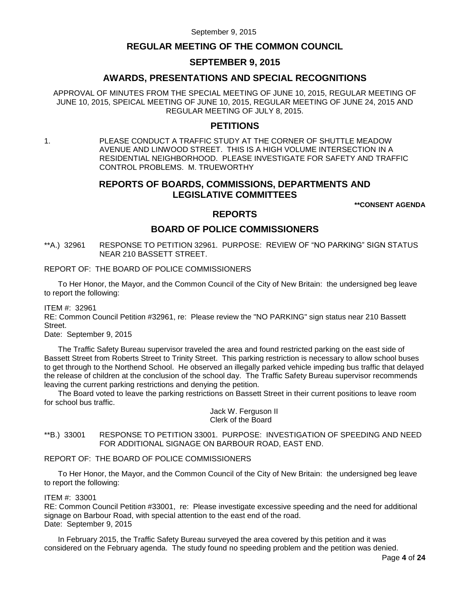# **REGULAR MEETING OF THE COMMON COUNCIL**

# **SEPTEMBER 9, 2015**

# **AWARDS, PRESENTATIONS AND SPECIAL RECOGNITIONS**

APPROVAL OF MINUTES FROM THE SPECIAL MEETING OF JUNE 10, 2015, REGULAR MEETING OF JUNE 10, 2015, SPEICAL MEETING OF JUNE 10, 2015, REGULAR MEETING OF JUNE 24, 2015 AND REGULAR MEETING OF JULY 8, 2015.

# **PETITIONS**

1. PLEASE CONDUCT A TRAFFIC STUDY AT THE CORNER OF SHUTTLE MEADOW AVENUE AND LINWOOD STREET. THIS IS A HIGH VOLUME INTERSECTION IN A RESIDENTIAL NEIGHBORHOOD. PLEASE INVESTIGATE FOR SAFETY AND TRAFFIC CONTROL PROBLEMS. M. TRUEWORTHY

# **REPORTS OF BOARDS, COMMISSIONS, DEPARTMENTS AND LEGISLATIVE COMMITTEES**

**\*\*CONSENT AGENDA**

## **REPORTS**

# **BOARD OF POLICE COMMISSIONERS**

<span id="page-3-0"></span>\*\*A.) 32961 RESPONSE TO PETITION 32961. PURPOSE: REVIEW OF "NO PARKING" SIGN STATUS NEAR 210 BASSETT STREET.

### REPORT OF: THE BOARD OF POLICE COMMISSIONERS

To Her Honor, the Mayor, and the Common Council of the City of New Britain: the undersigned beg leave to report the following:

ITEM #: 32961

RE: Common Council Petition #32961, re: Please review the "NO PARKING" sign status near 210 Bassett Street.

Date: September 9, 2015

The Traffic Safety Bureau supervisor traveled the area and found restricted parking on the east side of Bassett Street from Roberts Street to Trinity Street. This parking restriction is necessary to allow school buses to get through to the Northend School. He observed an illegally parked vehicle impeding bus traffic that delayed the release of children at the conclusion of the school day. The Traffic Safety Bureau supervisor recommends leaving the current parking restrictions and denying the petition.

The Board voted to leave the parking restrictions on Bassett Street in their current positions to leave room for school bus traffic.

> Jack W. Ferguson II Clerk of the Board

<span id="page-3-1"></span>\*\*B.) 33001 RESPONSE TO PETITION 33001. PURPOSE: INVESTIGATION OF SPEEDING AND NEED FOR ADDITIONAL SIGNAGE ON BARBOUR ROAD, EAST END.

REPORT OF: THE BOARD OF POLICE COMMISSIONERS

To Her Honor, the Mayor, and the Common Council of the City of New Britain: the undersigned beg leave to report the following:

### ITEM #: 33001

RE: Common Council Petition #33001, re: Please investigate excessive speeding and the need for additional signage on Barbour Road, with special attention to the east end of the road. Date: September 9, 2015

In February 2015, the Traffic Safety Bureau surveyed the area covered by this petition and it was considered on the February agenda. The study found no speeding problem and the petition was denied.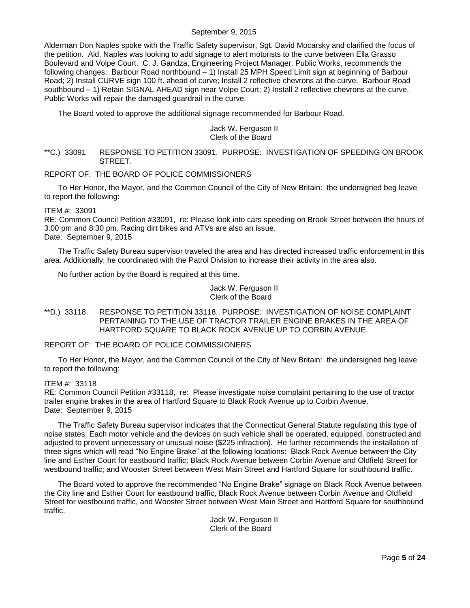Alderman Don Naples spoke with the Traffic Safety supervisor, Sgt. David Mocarsky and clarified the focus of the petition. Ald. Naples was looking to add signage to alert motorists to the curve between Ella Grasso Boulevard and Volpe Court. C. J. Gandza, Engineering Project Manager, Public Works, recommends the following changes: Barbour Road northbound – 1) Install 25 MPH Speed Limit sign at beginning of Barbour Road; 2) Install CURVE sign 100 ft. ahead of curve; Install 2 reflective chevrons at the curve. Barbour Road southbound – 1) Retain SIGNAL AHEAD sign near Volpe Court; 2) Install 2 reflective chevrons at the curve. Public Works will repair the damaged guardrail in the curve.

The Board voted to approve the additional signage recommended for Barbour Road.

Jack W. Ferguson II Clerk of the Board

## <span id="page-4-0"></span>\*\*C.) 33091 RESPONSE TO PETITION 33091. PURPOSE: INVESTIGATION OF SPEEDING ON BROOK STREET.

### REPORT OF: THE BOARD OF POLICE COMMISSIONERS

To Her Honor, the Mayor, and the Common Council of the City of New Britain: the undersigned beg leave to report the following:

#### ITEM #: 33091

RE: Common Council Petition #33091, re: Please look into cars speeding on Brook Street between the hours of 3:00 pm and 8:30 pm. Racing dirt bikes and ATVs are also an issue. Date: September 9, 2015

The Traffic Safety Bureau supervisor traveled the area and has directed increased traffic enforcement in this area. Additionally, he coordinated with the Patrol Division to increase their activity in the area also.

No further action by the Board is required at this time.

Jack W. Ferguson II Clerk of the Board

<span id="page-4-1"></span>\*\*D.) 33118 RESPONSE TO PETITION 33118. PURPOSE: INVESTIGATION OF NOISE COMPLAINT PERTAINING TO THE USE OF TRACTOR TRAILER ENGINE BRAKES IN THE AREA OF HARTFORD SQUARE TO BLACK ROCK AVENUE UP TO CORBIN AVENUE.

REPORT OF: THE BOARD OF POLICE COMMISSIONERS

To Her Honor, the Mayor, and the Common Council of the City of New Britain: the undersigned beg leave to report the following:

#### ITEM #: 33118

RE: Common Council Petition #33118, re: Please investigate noise complaint pertaining to the use of tractor trailer engine brakes in the area of Hartford Square to Black Rock Avenue up to Corbin Avenue. Date: September 9, 2015

The Traffic Safety Bureau supervisor indicates that the Connecticut General Statute regulating this type of noise states: Each motor vehicle and the devices on such vehicle shall be operated, equipped, constructed and adjusted to prevent unnecessary or unusual noise (\$225 infraction). He further recommends the installation of three signs which will read "No Engine Brake" at the following locations: Black Rock Avenue between the City line and Esther Court for eastbound traffic; Black Rock Avenue between Corbin Avenue and Oldfield Street for westbound traffic; and Wooster Street between West Main Street and Hartford Square for southbound traffic.

The Board voted to approve the recommended "No Engine Brake" signage on Black Rock Avenue between the City line and Esther Court for eastbound traffic, Black Rock Avenue between Corbin Avenue and Oldfield Street for westbound traffic, and Wooster Street between West Main Street and Hartford Square for southbound traffic.

> Jack W. Ferguson II Clerk of the Board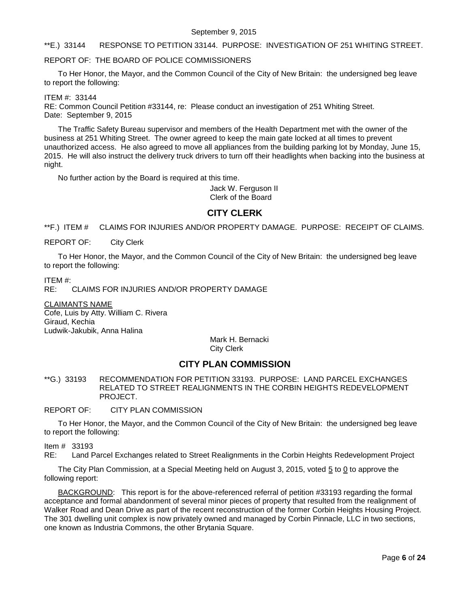### <span id="page-5-0"></span>\*\*E.) 33144 RESPONSE TO PETITION 33144. PURPOSE: INVESTIGATION OF 251 WHITING STREET.

### REPORT OF: THE BOARD OF POLICE COMMISSIONERS

To Her Honor, the Mayor, and the Common Council of the City of New Britain: the undersigned beg leave to report the following:

ITEM #: 33144

RE: Common Council Petition #33144, re: Please conduct an investigation of 251 Whiting Street. Date: September 9, 2015

The Traffic Safety Bureau supervisor and members of the Health Department met with the owner of the business at 251 Whiting Street. The owner agreed to keep the main gate locked at all times to prevent unauthorized access. He also agreed to move all appliances from the building parking lot by Monday, June 15, 2015. He will also instruct the delivery truck drivers to turn off their headlights when backing into the business at night.

No further action by the Board is required at this time.

Jack W. Ferguson II Clerk of the Board

## **CITY CLERK**

<span id="page-5-1"></span>\*\*F.) ITEM # CLAIMS FOR INJURIES AND/OR PROPERTY DAMAGE. PURPOSE: RECEIPT OF CLAIMS.

REPORT OF: City Clerk

To Her Honor, the Mayor, and the Common Council of the City of New Britain: the undersigned beg leave to report the following:

ITEM #: RE: CLAIMS FOR INJURIES AND/OR PROPERTY DAMAGE

CLAIMANTS NAME Cofe, Luis by Atty. William C. Rivera Giraud, Kechia Ludwik-Jakubik, Anna Halina

Mark H. Bernacki City Clerk

## **CITY PLAN COMMISSION**

<span id="page-5-2"></span>\*\*G.) 33193 RECOMMENDATION FOR PETITION 33193. PURPOSE: LAND PARCEL EXCHANGES RELATED TO STREET REALIGNMENTS IN THE CORBIN HEIGHTS REDEVELOPMENT PROJECT.

REPORT OF: CITY PLAN COMMISSION

To Her Honor, the Mayor, and the Common Council of the City of New Britain: the undersigned beg leave to report the following:

Item # 33193

RE: Land Parcel Exchanges related to Street Realignments in the Corbin Heights Redevelopment Project

The City Plan Commission, at a Special Meeting held on August 3, 2015, voted 5 to 0 to approve the following report:

BACKGROUND: This report is for the above-referenced referral of petition #33193 regarding the formal acceptance and formal abandonment of several minor pieces of property that resulted from the realignment of Walker Road and Dean Drive as part of the recent reconstruction of the former Corbin Heights Housing Project. The 301 dwelling unit complex is now privately owned and managed by Corbin Pinnacle, LLC in two sections, one known as Industria Commons, the other Brytania Square.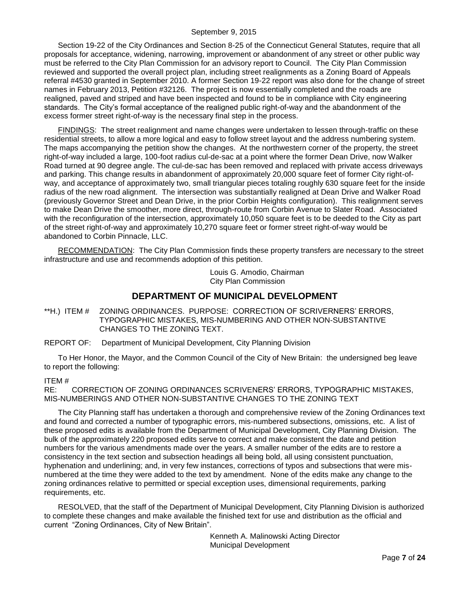Section 19-22 of the City Ordinances and Section 8-25 of the Connecticut General Statutes, require that all proposals for acceptance, widening, narrowing, improvement or abandonment of any street or other public way must be referred to the City Plan Commission for an advisory report to Council. The City Plan Commission reviewed and supported the overall project plan, including street realignments as a Zoning Board of Appeals referral #4530 granted in September 2010. A former Section 19-22 report was also done for the change of street names in February 2013, Petition #32126. The project is now essentially completed and the roads are realigned, paved and striped and have been inspected and found to be in compliance with City engineering standards. The City's formal acceptance of the realigned public right-of-way and the abandonment of the excess former street right-of-way is the necessary final step in the process.

FINDINGS: The street realignment and name changes were undertaken to lessen through-traffic on these residential streets, to allow a more logical and easy to follow street layout and the address numbering system. The maps accompanying the petition show the changes. At the northwestern corner of the property, the street right-of-way included a large, 100-foot radius cul-de-sac at a point where the former Dean Drive, now Walker Road turned at 90 degree angle. The cul-de-sac has been removed and replaced with private access driveways and parking. This change results in abandonment of approximately 20,000 square feet of former City right-ofway, and acceptance of approximately two, small triangular pieces totaling roughly 630 square feet for the inside radius of the new road alignment. The intersection was substantially realigned at Dean Drive and Walker Road (previously Governor Street and Dean Drive, in the prior Corbin Heights configuration). This realignment serves to make Dean Drive the smoother, more direct, through-route from Corbin Avenue to Slater Road. Associated with the reconfiguration of the intersection, approximately 10,050 square feet is to be deeded to the City as part of the street right-of-way and approximately 10,270 square feet or former street right-of-way would be abandoned to Corbin Pinnacle, LLC.

RECOMMENDATION: The City Plan Commission finds these property transfers are necessary to the street infrastructure and use and recommends adoption of this petition.

> Louis G. Amodio, Chairman City Plan Commission

# **DEPARTMENT OF MUNICIPAL DEVELOPMENT**

<span id="page-6-0"></span>\*\*H.) ITEM # ZONING ORDINANCES. PURPOSE: CORRECTION OF SCRIVERNERS' ERRORS, TYPOGRAPHIC MISTAKES, MIS-NUMBERING AND OTHER NON-SUBSTANTIVE CHANGES TO THE ZONING TEXT.

REPORT OF: Department of Municipal Development, City Planning Division

To Her Honor, the Mayor, and the Common Council of the City of New Britain: the undersigned beg leave to report the following:

### ITEM #

RE: CORRECTION OF ZONING ORDINANCES SCRIVENERS' ERRORS, TYPOGRAPHIC MISTAKES, MIS-NUMBERINGS AND OTHER NON-SUBSTANTIVE CHANGES TO THE ZONING TEXT

The City Planning staff has undertaken a thorough and comprehensive review of the Zoning Ordinances text and found and corrected a number of typographic errors, mis-numbered subsections, omissions, etc. A list of these proposed edits is available from the Department of Municipal Development, City Planning Division. The bulk of the approximately 220 proposed edits serve to correct and make consistent the date and petition numbers for the various amendments made over the years. A smaller number of the edits are to restore a consistency in the text section and subsection headings all being bold, all using consistent punctuation, hyphenation and underlining; and, in very few instances, corrections of typos and subsections that were misnumbered at the time they were added to the text by amendment. None of the edits make any change to the zoning ordinances relative to permitted or special exception uses, dimensional requirements, parking requirements, etc.

RESOLVED, that the staff of the Department of Municipal Development, City Planning Division is authorized to complete these changes and make available the finished text for use and distribution as the official and current "Zoning Ordinances, City of New Britain".

> Kenneth A. Malinowski Acting Director Municipal Development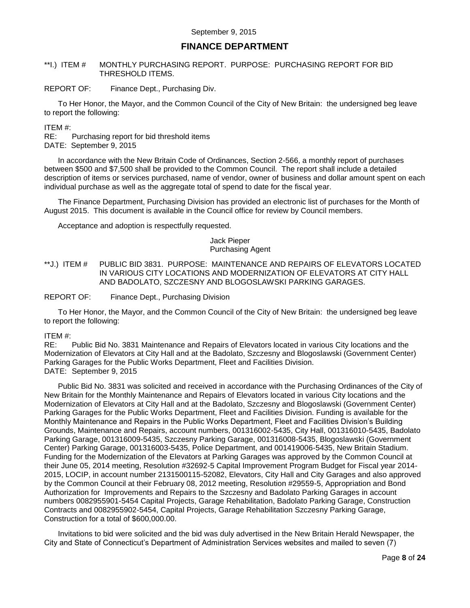# **FINANCE DEPARTMENT**

## <span id="page-7-0"></span>\*\*I.) ITEM # MONTHLY PURCHASING REPORT. PURPOSE: PURCHASING REPORT FOR BID THRESHOLD ITEMS.

REPORT OF: Finance Dept., Purchasing Div.

To Her Honor, the Mayor, and the Common Council of the City of New Britain: the undersigned beg leave to report the following:

ITEM #:

RE: Purchasing report for bid threshold items

DATE: September 9, 2015

In accordance with the New Britain Code of Ordinances, Section 2-566, a monthly report of purchases between \$500 and \$7,500 shall be provided to the Common Council. The report shall include a detailed description of items or services purchased, name of vendor, owner of business and dollar amount spent on each individual purchase as well as the aggregate total of spend to date for the fiscal year.

The Finance Department, Purchasing Division has provided an electronic list of purchases for the Month of August 2015. This document is available in the Council office for review by Council members.

Acceptance and adoption is respectfully requested.

### Jack Pieper Purchasing Agent

<span id="page-7-1"></span>\*\*J.) ITEM # PUBLIC BID 3831. PURPOSE: MAINTENANCE AND REPAIRS OF ELEVATORS LOCATED IN VARIOUS CITY LOCATIONS AND MODERNIZATION OF ELEVATORS AT CITY HALL AND BADOLATO, SZCZESNY AND BLOGOSLAWSKI PARKING GARAGES.

REPORT OF: Finance Dept., Purchasing Division

To Her Honor, the Mayor, and the Common Council of the City of New Britain: the undersigned beg leave to report the following:

### ITEM #:

RE: Public Bid No. 3831 Maintenance and Repairs of Elevators located in various City locations and the Modernization of Elevators at City Hall and at the Badolato, Szczesny and Blogoslawski (Government Center) Parking Garages for the Public Works Department, Fleet and Facilities Division. DATE: September 9, 2015

Public Bid No. 3831 was solicited and received in accordance with the Purchasing Ordinances of the City of New Britain for the Monthly Maintenance and Repairs of Elevators located in various City locations and the Modernization of Elevators at City Hall and at the Badolato, Szczesny and Blogoslawski (Government Center) Parking Garages for the Public Works Department, Fleet and Facilities Division. Funding is available for the Monthly Maintenance and Repairs in the Public Works Department, Fleet and Facilities Division's Building Grounds, Maintenance and Repairs, account numbers, 001316002-5435, City Hall, 001316010-5435, Badolato Parking Garage, 001316009-5435, Szczesny Parking Garage, 001316008-5435, Blogoslawski (Government Center) Parking Garage, 001316003-5435, Police Department, and 001419006-5435, New Britain Stadium. Funding for the Modernization of the Elevators at Parking Garages was approved by the Common Council at their June 05, 2014 meeting, Resolution #32692-5 Capital Improvement Program Budget for Fiscal year 2014- 2015, LOCIP, in account number 2131500115-52082, Elevators, City Hall and City Garages and also approved by the Common Council at their February 08, 2012 meeting, Resolution #29559-5, Appropriation and Bond Authorization for Improvements and Repairs to the Szczesny and Badolato Parking Garages in account numbers 0082955901-5454 Capital Projects, Garage Rehabilitation, Badolato Parking Garage, Construction Contracts and 0082955902-5454, Capital Projects, Garage Rehabilitation Szczesny Parking Garage, Construction for a total of \$600,000.00.

Invitations to bid were solicited and the bid was duly advertised in the New Britain Herald Newspaper, the City and State of Connecticut's Department of Administration Services websites and mailed to seven (7)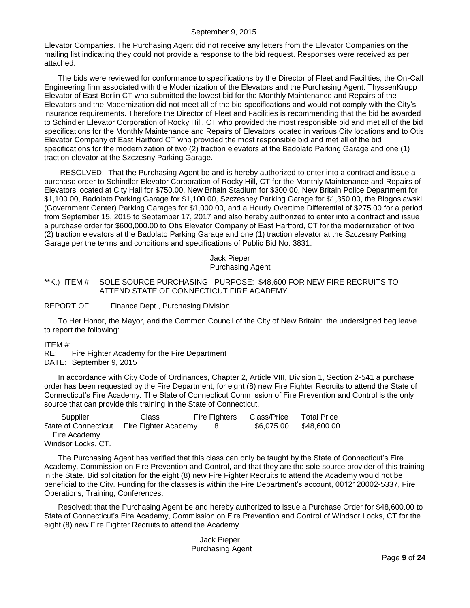Elevator Companies. The Purchasing Agent did not receive any letters from the Elevator Companies on the mailing list indicating they could not provide a response to the bid request. Responses were received as per attached.

The bids were reviewed for conformance to specifications by the Director of Fleet and Facilities, the On-Call Engineering firm associated with the Modernization of the Elevators and the Purchasing Agent. ThyssenKrupp Elevator of East Berlin CT who submitted the lowest bid for the Monthly Maintenance and Repairs of the Elevators and the Modernization did not meet all of the bid specifications and would not comply with the City's insurance requirements. Therefore the Director of Fleet and Facilities is recommending that the bid be awarded to Schindler Elevator Corporation of Rocky Hill, CT who provided the most responsible bid and met all of the bid specifications for the Monthly Maintenance and Repairs of Elevators located in various City locations and to Otis Elevator Company of East Hartford CT who provided the most responsible bid and met all of the bid specifications for the modernization of two (2) traction elevators at the Badolato Parking Garage and one (1) traction elevator at the Szczesny Parking Garage.

RESOLVED: That the Purchasing Agent be and is hereby authorized to enter into a contract and issue a purchase order to Schindler Elevator Corporation of Rocky Hill, CT for the Monthly Maintenance and Repairs of Elevators located at City Hall for \$750.00, New Britain Stadium for \$300.00, New Britain Police Department for \$1,100.00, Badolato Parking Garage for \$1,100.00, Szczesney Parking Garage for \$1,350.00, the Blogoslawski (Government Center) Parking Garages for \$1,000.00, and a Hourly Overtime Differential of \$275.00 for a period from September 15, 2015 to September 17, 2017 and also hereby authorized to enter into a contract and issue a purchase order for \$600,000.00 to Otis Elevator Company of East Hartford, CT for the modernization of two (2) traction elevators at the Badolato Parking Garage and one (1) traction elevator at the Szczesny Parking Garage per the terms and conditions and specifications of Public Bid No. 3831.

> Jack Pieper Purchasing Agent

<span id="page-8-0"></span>\*\*K.) ITEM # SOLE SOURCE PURCHASING. PURPOSE: \$48,600 FOR NEW FIRE RECRUITS TO ATTEND STATE OF CONNECTICUT FIRE ACADEMY.

### REPORT OF: Finance Dept., Purchasing Division

To Her Honor, the Mayor, and the Common Council of the City of New Britain: the undersigned beg leave to report the following:

ITEM #:

RE: Fire Fighter Academy for the Fire Department DATE: September 9, 2015

In accordance with City Code of Ordinances, Chapter 2, Article VIII, Division 1, Section 2-541 a purchase order has been requested by the Fire Department, for eight (8) new Fire Fighter Recruits to attend the State of Connecticut's Fire Academy. The State of Connecticut Commission of Fire Prevention and Control is the only source that can provide this training in the State of Connecticut.

| Supplier             | Class                | <b>Fire Fighters</b> | Class/Price | <b>Total Price</b> |
|----------------------|----------------------|----------------------|-------------|--------------------|
| State of Connecticut | Fire Fighter Academy |                      | \$6,075,00  | \$48,600.00        |
| Fire Academy         |                      |                      |             |                    |
| Windsor Locks, CT.   |                      |                      |             |                    |

The Purchasing Agent has verified that this class can only be taught by the State of Connecticut's Fire Academy, Commission on Fire Prevention and Control, and that they are the sole source provider of this training in the State. Bid solicitation for the eight (8) new Fire Fighter Recruits to attend the Academy would not be beneficial to the City. Funding for the classes is within the Fire Department's account, 0012120002-5337, Fire Operations, Training, Conferences.

Resolved: that the Purchasing Agent be and hereby authorized to issue a Purchase Order for \$48,600.00 to State of Connecticut's Fire Academy, Commission on Fire Prevention and Control of Windsor Locks, CT for the eight (8) new Fire Fighter Recruits to attend the Academy.

> Jack Pieper Purchasing Agent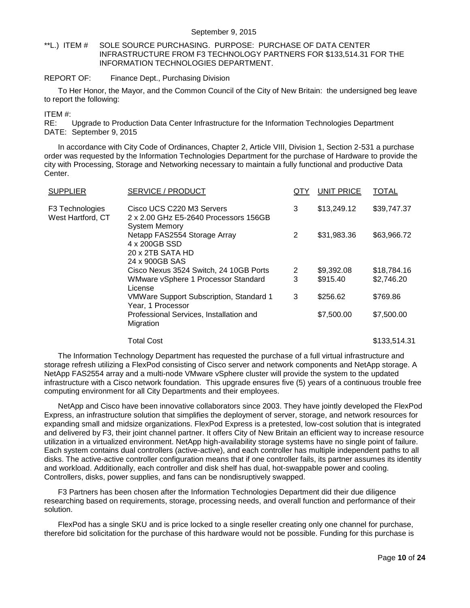<span id="page-9-0"></span>\*\*L.) ITEM # SOLE SOURCE PURCHASING. PURPOSE: PURCHASE OF DATA CENTER INFRASTRUCTURE FROM F3 TECHNOLOGY PARTNERS FOR \$133,514.31 FOR THE INFORMATION TECHNOLOGIES DEPARTMENT.

### REPORT OF: Finance Dept., Purchasing Division

To Her Honor, the Mayor, and the Common Council of the City of New Britain: the undersigned beg leave to report the following:

ITEM #:

RE: Upgrade to Production Data Center Infrastructure for the Information Technologies Department DATE: September 9, 2015

In accordance with City Code of Ordinances, Chapter 2, Article VIII, Division 1, Section 2-531 a purchase order was requested by the Information Technologies Department for the purchase of Hardware to provide the city with Processing, Storage and Networking necessary to maintain a fully functional and productive Data Center.

| <b>SUPPLIER</b>                      | SERVICE / PRODUCT                                                                          | QTY | <b>UNIT PRICE</b> | <b>TOTAL</b> |
|--------------------------------------|--------------------------------------------------------------------------------------------|-----|-------------------|--------------|
| F3 Technologies<br>West Hartford, CT | Cisco UCS C220 M3 Servers<br>2 x 2.00 GHz E5-2640 Processors 156GB<br><b>System Memory</b> | 3   | \$13,249.12       | \$39,747.37  |
|                                      | Netapp FAS2554 Storage Array<br>4 x 200GB SSD<br>20 x 2TB SATA HD<br>24 x 900GB SAS        | 2   | \$31,983.36       | \$63,966.72  |
|                                      | Cisco Nexus 3524 Switch, 24 10GB Ports                                                     | 2   | \$9,392.08        | \$18,784.16  |
|                                      | WMware vSphere 1 Processor Standard<br>License                                             | 3   | \$915.40          | \$2,746.20   |
|                                      | <b>VMWare Support Subscription, Standard 1</b><br>Year, 1 Processor                        | 3   | \$256.62          | \$769.86     |
|                                      | Professional Services, Installation and<br>Migration                                       |     | \$7,500.00        | \$7,500.00   |
|                                      |                                                                                            |     |                   |              |

```
Total Cost $133,514.31
```
The Information Technology Department has requested the purchase of a full virtual infrastructure and storage refresh utilizing a FlexPod consisting of Cisco server and network components and NetApp storage. A NetApp FAS2554 array and a multi-node VMware vSphere cluster will provide the system to the updated infrastructure with a Cisco network foundation. This upgrade ensures five (5) years of a continuous trouble free computing environment for all City Departments and their employees.

NetApp and Cisco have been innovative collaborators since 2003. They have jointly developed the FlexPod Express, an infrastructure solution that simplifies the deployment of server, storage, and network resources for expanding small and midsize organizations. FlexPod Express is a pretested, low-cost solution that is integrated and delivered by F3, their joint channel partner. It offers City of New Britain an efficient way to increase resource utilization in a virtualized environment. NetApp high-availability storage systems have no single point of failure. Each system contains dual controllers (active-active), and each controller has multiple independent paths to all disks. The active-active controller configuration means that if one controller fails, its partner assumes its identity and workload. Additionally, each controller and disk shelf has dual, hot-swappable power and cooling. Controllers, disks, power supplies, and fans can be nondisruptively swapped.

F3 Partners has been chosen after the Information Technologies Department did their due diligence researching based on requirements, storage, processing needs, and overall function and performance of their solution.

FlexPod has a single SKU and is price locked to a single reseller creating only one channel for purchase, therefore bid solicitation for the purchase of this hardware would not be possible. Funding for this purchase is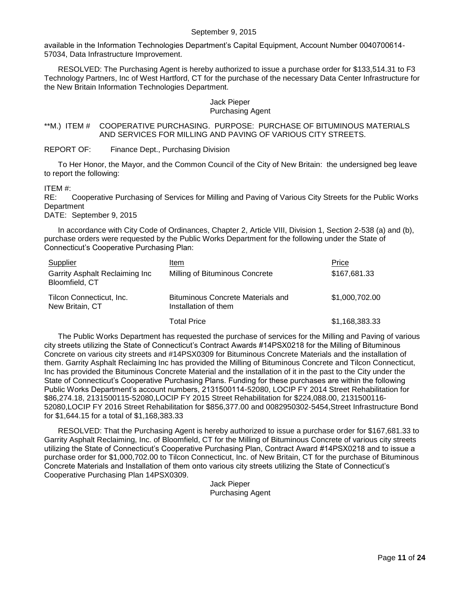available in the Information Technologies Department's Capital Equipment, Account Number 0040700614- 57034, Data Infrastructure Improvement.

RESOLVED: The Purchasing Agent is hereby authorized to issue a purchase order for \$133,514.31 to F3 Technology Partners, Inc of West Hartford, CT for the purchase of the necessary Data Center Infrastructure for the New Britain Information Technologies Department.

### Jack Pieper Purchasing Agent

### <span id="page-10-0"></span>\*\*M.) ITEM # COOPERATIVE PURCHASING. PURPOSE: PURCHASE OF BITUMINOUS MATERIALS AND SERVICES FOR MILLING AND PAVING OF VARIOUS CITY STREETS.

REPORT OF: Finance Dept., Purchasing Division

To Her Honor, the Mayor, and the Common Council of the City of New Britain: the undersigned beg leave to report the following:

ITEM #:

RE: Cooperative Purchasing of Services for Milling and Paving of Various City Streets for the Public Works **Department** 

DATE: September 9, 2015

In accordance with City Code of Ordinances, Chapter 2, Article VIII, Division 1, Section 2-538 (a) and (b), purchase orders were requested by the Public Works Department for the following under the State of Connecticut's Cooperative Purchasing Plan:

| Supplier                                         | Item                                                             | Price          |
|--------------------------------------------------|------------------------------------------------------------------|----------------|
| Garrity Asphalt Reclaiming Inc<br>Bloomfield, CT | Milling of Bituminous Concrete                                   | \$167,681.33   |
| Tilcon Connecticut, Inc.<br>New Britain, CT      | <b>Bituminous Concrete Materials and</b><br>Installation of them | \$1,000,702.00 |
|                                                  | Total Price                                                      | \$1,168,383.33 |

The Public Works Department has requested the purchase of services for the Milling and Paving of various city streets utilizing the State of Connecticut's Contract Awards #14PSX0218 for the Milling of Bituminous Concrete on various city streets and #14PSX0309 for Bituminous Concrete Materials and the installation of them. Garrity Asphalt Reclaiming Inc has provided the Milling of Bituminous Concrete and Tilcon Connecticut, Inc has provided the Bituminous Concrete Material and the installation of it in the past to the City under the State of Connecticut's Cooperative Purchasing Plans. Funding for these purchases are within the following Public Works Department's account numbers, 2131500114-52080, LOCIP FY 2014 Street Rehabilitation for \$86,274.18, 2131500115-52080,LOCIP FY 2015 Street Rehabilitation for \$224,088.00, 2131500116- 52080,LOCIP FY 2016 Street Rehabilitation for \$856,377.00 and 0082950302-5454,Street Infrastructure Bond for \$1,644.15 for a total of \$1,168,383.33

RESOLVED: That the Purchasing Agent is hereby authorized to issue a purchase order for \$167,681.33 to Garrity Asphalt Reclaiming, Inc. of Bloomfield, CT for the Milling of Bituminous Concrete of various city streets utilizing the State of Connecticut's Cooperative Purchasing Plan, Contract Award #14PSX0218 and to issue a purchase order for \$1,000,702.00 to Tilcon Connecticut, Inc. of New Britain, CT for the purchase of Bituminous Concrete Materials and Installation of them onto various city streets utilizing the State of Connecticut's Cooperative Purchasing Plan 14PSX0309.

> Jack Pieper Purchasing Agent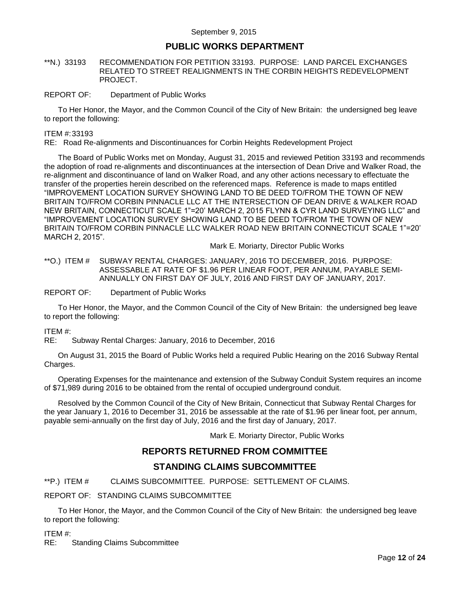# **PUBLIC WORKS DEPARTMENT**

- <span id="page-11-0"></span>\*\*N.) 33193 RECOMMENDATION FOR PETITION 33193. PURPOSE: LAND PARCEL EXCHANGES RELATED TO STREET REALIGNMENTS IN THE CORBIN HEIGHTS REDEVELOPMENT PROJECT.
- REPORT OF: Department of Public Works

To Her Honor, the Mayor, and the Common Council of the City of New Britain: the undersigned beg leave to report the following:

#### ITEM #:33193

RE: Road Re-alignments and Discontinuances for Corbin Heights Redevelopment Project

The Board of Public Works met on Monday, August 31, 2015 and reviewed Petition 33193 and recommends the adoption of road re-alignments and discontinuances at the intersection of Dean Drive and Walker Road, the re-alignment and discontinuance of land on Walker Road, and any other actions necessary to effectuate the transfer of the properties herein described on the referenced maps. Reference is made to maps entitled "IMPROVEMENT LOCATION SURVEY SHOWING LAND TO BE DEED TO/FROM THE TOWN OF NEW BRITAIN TO/FROM CORBIN PINNACLE LLC AT THE INTERSECTION OF DEAN DRIVE & WALKER ROAD NEW BRITAIN, CONNECTICUT SCALE 1"=20' MARCH 2, 2015 FLYNN & CYR LAND SURVEYING LLC" and "IMPROVEMENT LOCATION SURVEY SHOWING LAND TO BE DEED TO/FROM THE TOWN OF NEW BRITAIN TO/FROM CORBIN PINNACLE LLC WALKER ROAD NEW BRITAIN CONNECTICUT SCALE 1"=20' MARCH 2, 2015".

### Mark E. Moriarty, Director Public Works

<span id="page-11-1"></span>\*\*O.) ITEM # SUBWAY RENTAL CHARGES: JANUARY, 2016 TO DECEMBER, 2016. PURPOSE: ASSESSABLE AT RATE OF \$1.96 PER LINEAR FOOT, PER ANNUM, PAYABLE SEMI-ANNUALLY ON FIRST DAY OF JULY, 2016 AND FIRST DAY OF JANUARY, 2017.

REPORT OF: Department of Public Works

To Her Honor, the Mayor, and the Common Council of the City of New Britain: the undersigned beg leave to report the following:

#### ITEM #:

RE: Subway Rental Charges: January, 2016 to December, 2016

On August 31, 2015 the Board of Public Works held a required Public Hearing on the 2016 Subway Rental Charges.

Operating Expenses for the maintenance and extension of the Subway Conduit System requires an income of \$71,989 during 2016 to be obtained from the rental of occupied underground conduit.

Resolved by the Common Council of the City of New Britain, Connecticut that Subway Rental Charges for the year January 1, 2016 to December 31, 2016 be assessable at the rate of \$1.96 per linear foot, per annum, payable semi-annually on the first day of July, 2016 and the first day of January, 2017.

Mark E. Moriarty Director, Public Works

# **REPORTS RETURNED FROM COMMITTEE**

## **STANDING CLAIMS SUBCOMMITTEE**

<span id="page-11-2"></span>\*\*P.) ITEM # CLAIMS SUBCOMMITTEE. PURPOSE: SETTLEMENT OF CLAIMS.

#### REPORT OF: STANDING CLAIMS SUBCOMMITTEE

To Her Honor, the Mayor, and the Common Council of the City of New Britain: the undersigned beg leave to report the following:

ITEM #:

RE: Standing Claims Subcommittee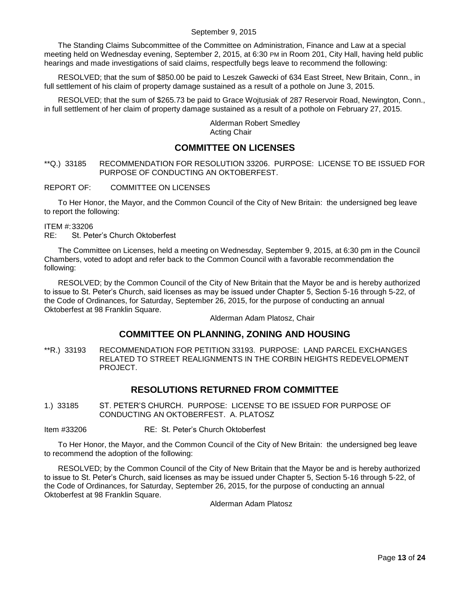The Standing Claims Subcommittee of the Committee on Administration, Finance and Law at a special meeting held on Wednesday evening, September 2, 2015, at 6:30 PM in Room 201, City Hall, having held public hearings and made investigations of said claims, respectfully begs leave to recommend the following:

RESOLVED; that the sum of \$850.00 be paid to Leszek Gawecki of 634 East Street, New Britain, Conn., in full settlement of his claim of property damage sustained as a result of a pothole on June 3, 2015.

RESOLVED; that the sum of \$265.73 be paid to Grace Wojtusiak of 287 Reservoir Road, Newington, Conn., in full settlement of her claim of property damage sustained as a result of a pothole on February 27, 2015.

> Alderman Robert Smedley Acting Chair

## **COMMITTEE ON LICENSES**

<span id="page-12-0"></span>\*\*Q.) 33185 RECOMMENDATION FOR RESOLUTION 33206. PURPOSE: LICENSE TO BE ISSUED FOR PURPOSE OF CONDUCTING AN OKTOBERFEST.

### REPORT OF: COMMITTEE ON LICENSES

To Her Honor, the Mayor, and the Common Council of the City of New Britain: the undersigned beg leave to report the following:

ITEM #:33206

RE: St. Peter's Church Oktoberfest

The Committee on Licenses, held a meeting on Wednesday, September 9, 2015, at 6:30 pm in the Council Chambers, voted to adopt and refer back to the Common Council with a favorable recommendation the following:

RESOLVED; by the Common Council of the City of New Britain that the Mayor be and is hereby authorized to issue to St. Peter's Church, said licenses as may be issued under Chapter 5, Section 5-16 through 5-22, of the Code of Ordinances, for Saturday, September 26, 2015, for the purpose of conducting an annual Oktoberfest at 98 Franklin Square.

Alderman Adam Platosz, Chair

# **COMMITTEE ON PLANNING, ZONING AND HOUSING**

<span id="page-12-1"></span>\*\*R.) 33193 RECOMMENDATION FOR PETITION 33193. PURPOSE: LAND PARCEL EXCHANGES RELATED TO STREET REALIGNMENTS IN THE CORBIN HEIGHTS REDEVELOPMENT PROJECT.

# **RESOLUTIONS RETURNED FROM COMMITTEE**

<span id="page-12-2"></span>1.) 33185 ST. PETER'S CHURCH. PURPOSE: LICENSE TO BE ISSUED FOR PURPOSE OF CONDUCTING AN OKTOBERFEST. A. PLATOSZ

Item #33206 RE: St. Peter's Church Oktoberfest

To Her Honor, the Mayor, and the Common Council of the City of New Britain: the undersigned beg leave to recommend the adoption of the following:

RESOLVED; by the Common Council of the City of New Britain that the Mayor be and is hereby authorized to issue to St. Peter's Church, said licenses as may be issued under Chapter 5, Section 5-16 through 5-22, of the Code of Ordinances, for Saturday, September 26, 2015, for the purpose of conducting an annual Oktoberfest at 98 Franklin Square.

Alderman Adam Platosz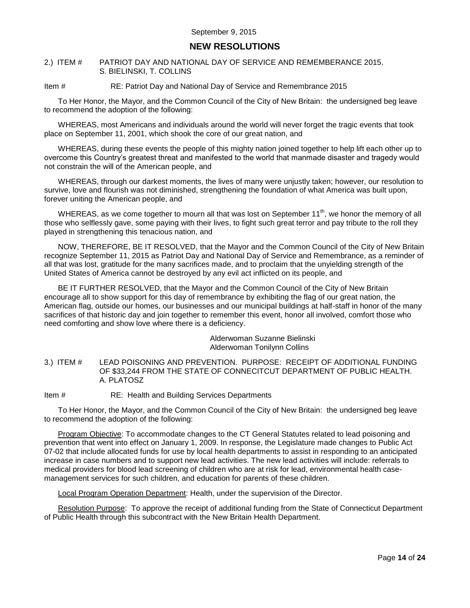# **NEW RESOLUTIONS**

### <span id="page-13-0"></span>2.) ITEM # PATRIOT DAY AND NATIONAL DAY OF SERVICE AND REMEMBERANCE 2015. S. BIELINSKI, T. COLLINS

#### Item # RE: Patriot Day and National Day of Service and Remembrance 2015

To Her Honor, the Mayor, and the Common Council of the City of New Britain: the undersigned beg leave to recommend the adoption of the following:

WHEREAS, most Americans and individuals around the world will never forget the tragic events that took place on September 11, 2001, which shook the core of our great nation, and

WHEREAS, during these events the people of this mighty nation joined together to help lift each other up to overcome this Country's greatest threat and manifested to the world that manmade disaster and tragedy would not constrain the will of the American people, and

WHEREAS, through our darkest moments, the lives of many were unjustly taken; however, our resolution to survive, love and flourish was not diminished, strengthening the foundation of what America was built upon, forever uniting the American people, and

WHEREAS, as we come together to mourn all that was lost on September 11<sup>th</sup>, we honor the memory of all those who selflessly gave, some paying with their lives, to fight such great terror and pay tribute to the roll they played in strengthening this tenacious nation, and

NOW, THEREFORE, BE IT RESOLVED, that the Mayor and the Common Council of the City of New Britain recognize September 11, 2015 as Patriot Day and National Day of Service and Remembrance, as a reminder of all that was lost, gratitude for the many sacrifices made, and to proclaim that the unyielding strength of the United States of America cannot be destroyed by any evil act inflicted on its people, and

BE IT FURTHER RESOLVED, that the Mayor and the Common Council of the City of New Britain encourage all to show support for this day of remembrance by exhibiting the flag of our great nation, the American flag, outside our homes, our businesses and our municipal buildings at half-staff in honor of the many sacrifices of that historic day and join together to remember this event, honor all involved, comfort those who need comforting and show love where there is a deficiency.

> Alderwoman Suzanne Bielinski Alderwoman Tonilynn Collins

<span id="page-13-1"></span>3.) ITEM # LEAD POISONING AND PREVENTION. PURPOSE: RECEIPT OF ADDITIONAL FUNDING OF \$33,244 FROM THE STATE OF CONNECITCUT DEPARTMENT OF PUBLIC HEALTH. A. PLATOSZ

Item # RE: Health and Building Services Departments

To Her Honor, the Mayor, and the Common Council of the City of New Britain: the undersigned beg leave to recommend the adoption of the following:

Program Objective: To accommodate changes to the CT General Statutes related to lead poisoning and prevention that went into effect on January 1, 2009. In response, the Legislature made changes to Public Act 07-02 that include allocated funds for use by local health departments to assist in responding to an anticipated increase in case numbers and to support new lead activities. The new lead activities will include: referrals to medical providers for blood lead screening of children who are at risk for lead, environmental health casemanagement services for such children, and education for parents of these children.

Local Program Operation Department: Health, under the supervision of the Director.

Resolution Purpose: To approve the receipt of additional funding from the State of Connecticut Department of Public Health through this subcontract with the New Britain Health Department.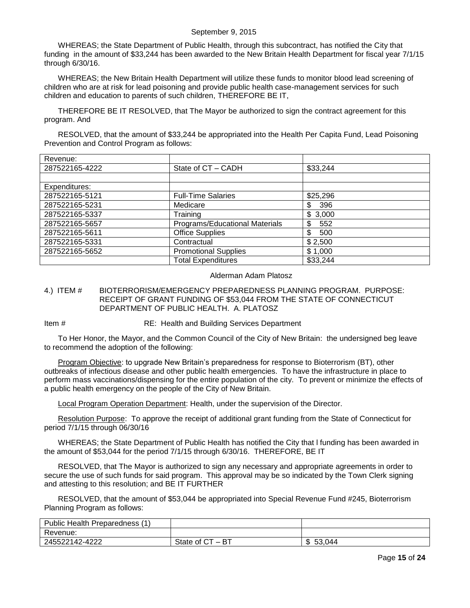WHEREAS; the State Department of Public Health, through this subcontract, has notified the City that funding in the amount of \$33,244 has been awarded to the New Britain Health Department for fiscal year 7/1/15 through 6/30/16.

WHEREAS; the New Britain Health Department will utilize these funds to monitor blood lead screening of children who are at risk for lead poisoning and provide public health case-management services for such children and education to parents of such children, THEREFORE BE IT,

THEREFORE BE IT RESOLVED, that The Mayor be authorized to sign the contract agreement for this program. And

RESOLVED, that the amount of \$33,244 be appropriated into the Health Per Capita Fund, Lead Poisoning Prevention and Control Program as follows:

| Revenue:       |                                |              |
|----------------|--------------------------------|--------------|
| 287522165-4222 | State of CT - CADH             | \$33,244     |
|                |                                |              |
| Expenditures:  |                                |              |
| 287522165-5121 | <b>Full-Time Salaries</b>      | \$25,296     |
| 287522165-5231 | Medicare                       | 396<br>S.    |
| 287522165-5337 | Training                       | 3,000<br>\$. |
| 287522165-5657 | Programs/Educational Materials | \$<br>552    |
| 287522165-5611 | <b>Office Supplies</b>         | \$.<br>500   |
| 287522165-5331 | Contractual                    | \$2,500      |
| 287522165-5652 | <b>Promotional Supplies</b>    | \$1,000      |
|                | <b>Total Expenditures</b>      | \$33,244     |

### Alderman Adam Platosz

<span id="page-14-0"></span>4.) ITEM # BIOTERRORISM/EMERGENCY PREPAREDNESS PLANNING PROGRAM. PURPOSE: RECEIPT OF GRANT FUNDING OF \$53,044 FROM THE STATE OF CONNECTICUT DEPARTMENT OF PUBLIC HEALTH. A. PLATOSZ

Item # RE: Health and Building Services Department

To Her Honor, the Mayor, and the Common Council of the City of New Britain: the undersigned beg leave to recommend the adoption of the following:

Program Objective: to upgrade New Britain's preparedness for response to Bioterrorism (BT), other outbreaks of infectious disease and other public health emergencies. To have the infrastructure in place to perform mass vaccinations/dispensing for the entire population of the city. To prevent or minimize the effects of a public health emergency on the people of the City of New Britain.

Local Program Operation Department: Health, under the supervision of the Director.

Resolution Purpose: To approve the receipt of additional grant funding from the State of Connecticut for period 7/1/15 through 06/30/16

WHEREAS; the State Department of Public Health has notified the City that l funding has been awarded in the amount of \$53,044 for the period 7/1/15 through 6/30/16. THEREFORE, BE IT

RESOLVED, that The Mayor is authorized to sign any necessary and appropriate agreements in order to secure the use of such funds for said program. This approval may be so indicated by the Town Clerk signing and attesting to this resolution; and BE IT FURTHER

RESOLVED, that the amount of \$53,044 be appropriated into Special Revenue Fund #245, Bioterrorism Planning Program as follows:

| <b>Public Health Preparedness (</b> |                  |                  |
|-------------------------------------|------------------|------------------|
| Revenue:                            |                  |                  |
| 245522142-4222                      | State of CT - BT | 53.044<br>௱<br>Œ |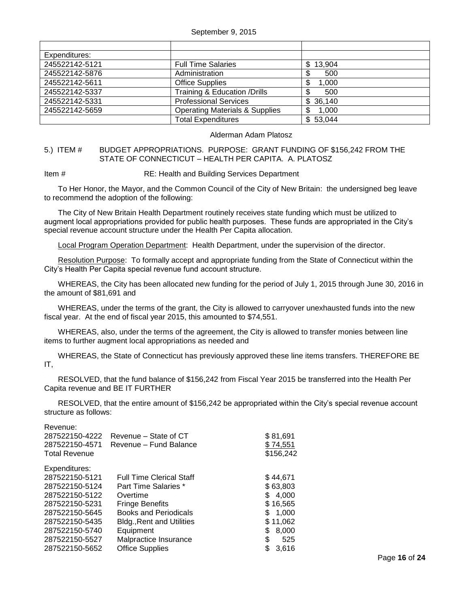| Expenditures:  |                                           |              |
|----------------|-------------------------------------------|--------------|
| 245522142-5121 | <b>Full Time Salaries</b>                 | \$13,904     |
| 245522142-5876 | Administration                            | 500          |
| 245522142-5611 | <b>Office Supplies</b>                    | 1,000        |
| 245522142-5337 | <b>Training &amp; Education /Drills</b>   | 500          |
| 245522142-5331 | <b>Professional Services</b>              | 36,140<br>S. |
| 245522142-5659 | <b>Operating Materials &amp; Supplies</b> | 1,000        |
|                | <b>Total Expenditures</b>                 | \$53,044     |

### Alderman Adam Platosz

## <span id="page-15-0"></span>5.) ITEM # BUDGET APPROPRIATIONS. PURPOSE: GRANT FUNDING OF \$156,242 FROM THE STATE OF CONNECTICUT – HEALTH PER CAPITA. A. PLATOSZ

Item # RE: Health and Building Services Department

To Her Honor, the Mayor, and the Common Council of the City of New Britain: the undersigned beg leave to recommend the adoption of the following:

The City of New Britain Health Department routinely receives state funding which must be utilized to augment local appropriations provided for public health purposes. These funds are appropriated in the City's special revenue account structure under the Health Per Capita allocation.

Local Program Operation Department: Health Department, under the supervision of the director.

Resolution Purpose: To formally accept and appropriate funding from the State of Connecticut within the City's Health Per Capita special revenue fund account structure.

WHEREAS, the City has been allocated new funding for the period of July 1, 2015 through June 30, 2016 in the amount of \$81,691 and

WHEREAS, under the terms of the grant, the City is allowed to carryover unexhausted funds into the new fiscal year. At the end of fiscal year 2015, this amounted to \$74,551.

WHEREAS, also, under the terms of the agreement, the City is allowed to transfer monies between line items to further augment local appropriations as needed and

WHEREAS, the State of Connecticut has previously approved these line items transfers. THEREFORE BE IT,

RESOLVED, that the fund balance of \$156,242 from Fiscal Year 2015 be transferred into the Health Per Capita revenue and BE IT FURTHER

RESOLVED, that the entire amount of \$156,242 be appropriated within the City's special revenue account structure as follows:

Revenue:

| 287522150-4222       | Revenue - State of CT           | \$81,691     |
|----------------------|---------------------------------|--------------|
| 287522150-4571       | Revenue - Fund Balance          | \$74,551     |
| <b>Total Revenue</b> |                                 | \$156,242    |
| Expenditures:        |                                 |              |
| 287522150-5121       | <b>Full Time Clerical Staff</b> | \$44,671     |
| 287522150-5124       | Part Time Salaries *            | \$63,803     |
| 287522150-5122       | Overtime                        | 4,000<br>SS. |
| 287522150-5231       | <b>Fringe Benefits</b>          | \$16,565     |
| 287522150-5645       | <b>Books and Periodicals</b>    | \$1,000      |
| 287522150-5435       | Bldg., Rent and Utilities       | \$11,062     |
| 287522150-5740       | Equipment                       | \$<br>8,000  |
| 287522150-5527       | Malpractice Insurance           | \$<br>525    |
| 287522150-5652       | <b>Office Supplies</b>          | S<br>3.616   |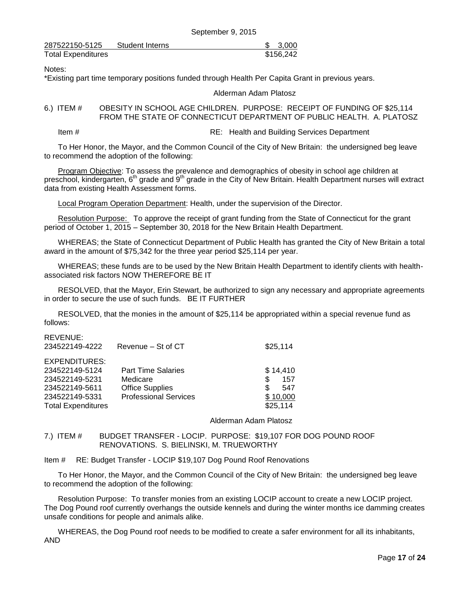| 287522150-5125            | Student Interns | \$3.000   |
|---------------------------|-----------------|-----------|
| <b>Total Expenditures</b> |                 | \$156,242 |

Notes:

\*Existing part time temporary positions funded through Health Per Capita Grant in previous years.

#### Alderman Adam Platosz

<span id="page-16-0"></span>6.) ITEM # OBESITY IN SCHOOL AGE CHILDREN. PURPOSE: RECEIPT OF FUNDING OF \$25,114 FROM THE STATE OF CONNECTICUT DEPARTMENT OF PUBLIC HEALTH. A. PLATOSZ

Item # **RE:** Health and Building Services Department

To Her Honor, the Mayor, and the Common Council of the City of New Britain: the undersigned beg leave to recommend the adoption of the following:

Program Objective: To assess the prevalence and demographics of obesity in school age children at preschool, kindergarten, 6<sup>th</sup> grade and 9<sup>th</sup> grade in the City of New Britain. Health Department nurses will extract data from existing Health Assessment forms.

Local Program Operation Department: Health, under the supervision of the Director.

Resolution Purpose: To approve the receipt of grant funding from the State of Connecticut for the grant period of October 1, 2015 – September 30, 2018 for the New Britain Health Department.

WHEREAS; the State of Connecticut Department of Public Health has granted the City of New Britain a total award in the amount of \$75,342 for the three year period \$25,114 per year.

WHEREAS; these funds are to be used by the New Britain Health Department to identify clients with healthassociated risk factors NOW THEREFORE BE IT

RESOLVED, that the Mayor, Erin Stewart, be authorized to sign any necessary and appropriate agreements in order to secure the use of such funds. BE IT FURTHER

RESOLVED, that the monies in the amount of \$25,114 be appropriated within a special revenue fund as follows:

REVENUE:

| 234522149-4222            | Revenue – St of CT           | \$25,114   |  |
|---------------------------|------------------------------|------------|--|
| EXPENDITURES:             |                              |            |  |
| 234522149-5124            | <b>Part Time Salaries</b>    | \$14,410   |  |
| 234522149-5231            | Medicare                     | 157        |  |
| 234522149-5611            | <b>Office Supplies</b>       | 547<br>\$. |  |
| 234522149-5331            | <b>Professional Services</b> | \$10,000   |  |
| <b>Total Expenditures</b> |                              | \$25,114   |  |

Alderman Adam Platosz

<span id="page-16-1"></span>7.) ITEM # BUDGET TRANSFER - LOCIP. PURPOSE: \$19,107 FOR DOG POUND ROOF RENOVATIONS. S. BIELINSKI, M. TRUEWORTHY

Item # RE: Budget Transfer - LOCIP \$19,107 Dog Pound Roof Renovations

To Her Honor, the Mayor, and the Common Council of the City of New Britain: the undersigned beg leave to recommend the adoption of the following:

Resolution Purpose: To transfer monies from an existing LOCIP account to create a new LOCIP project. The Dog Pound roof currently overhangs the outside kennels and during the winter months ice damming creates unsafe conditions for people and animals alike.

WHEREAS, the Dog Pound roof needs to be modified to create a safer environment for all its inhabitants, AND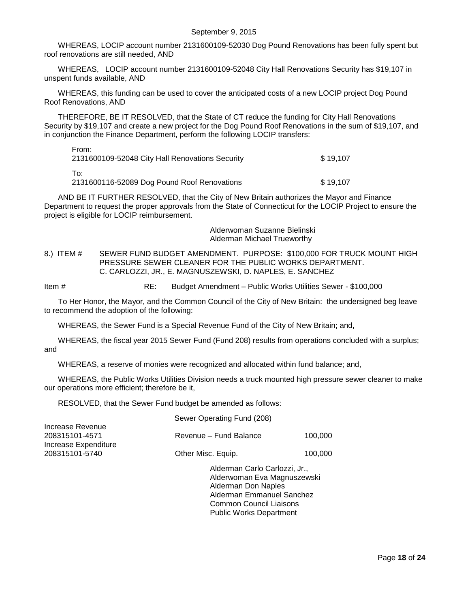WHEREAS, LOCIP account number 2131600109-52030 Dog Pound Renovations has been fully spent but roof renovations are still needed, AND

WHEREAS, LOCIP account number 2131600109-52048 City Hall Renovations Security has \$19,107 in unspent funds available, AND

WHEREAS, this funding can be used to cover the anticipated costs of a new LOCIP project Dog Pound Roof Renovations, AND

THEREFORE, BE IT RESOLVED, that the State of CT reduce the funding for City Hall Renovations Security by \$19,107 and create a new project for the Dog Pound Roof Renovations in the sum of \$19,107, and in conjunction the Finance Department, perform the following LOCIP transfers:

| From:<br>2131600109-52048 City Hall Renovations Security | \$19.107 |
|----------------------------------------------------------|----------|
| To:<br>2131600116-52089 Dog Pound Roof Renovations       | \$19.107 |

AND BE IT FURTHER RESOLVED, that the City of New Britain authorizes the Mayor and Finance Department to request the proper approvals from the State of Connecticut for the LOCIP Project to ensure the project is eligible for LOCIP reimbursement.

> Alderwoman Suzanne Bielinski Alderman Michael Trueworthy

<span id="page-17-0"></span>8.) ITEM # SEWER FUND BUDGET AMENDMENT. PURPOSE: \$100,000 FOR TRUCK MOUNT HIGH PRESSURE SEWER CLEANER FOR THE PUBLIC WORKS DEPARTMENT. C. CARLOZZI, JR., E. MAGNUSZEWSKI, D. NAPLES, E. SANCHEZ

Item # RE: Budget Amendment – Public Works Utilities Sewer - \$100,000

To Her Honor, the Mayor, and the Common Council of the City of New Britain: the undersigned beg leave to recommend the adoption of the following:

WHEREAS, the Sewer Fund is a Special Revenue Fund of the City of New Britain; and,

WHEREAS, the fiscal year 2015 Sewer Fund (Fund 208) results from operations concluded with a surplus; and

WHEREAS, a reserve of monies were recognized and allocated within fund balance; and,

WHEREAS, the Public Works Utilities Division needs a truck mounted high pressure sewer cleaner to make our operations more efficient; therefore be it,

RESOLVED, that the Sewer Fund budget be amended as follows:

|                                                            | Sewer Operating Fund (208)                                                                                                                         |         |  |
|------------------------------------------------------------|----------------------------------------------------------------------------------------------------------------------------------------------------|---------|--|
| Increase Revenue<br>208315101-4571<br>Increase Expenditure | Revenue - Fund Balance                                                                                                                             | 100,000 |  |
| 208315101-5740                                             | Other Misc. Equip.                                                                                                                                 | 100,000 |  |
|                                                            | Alderman Carlo Carlozzi, Jr.,<br>Alderwoman Eva Magnuszewski<br>Alderman Don Naples<br>Alderman Emmanuel Sanchez<br><b>Common Council Liaisons</b> |         |  |

Public Works Department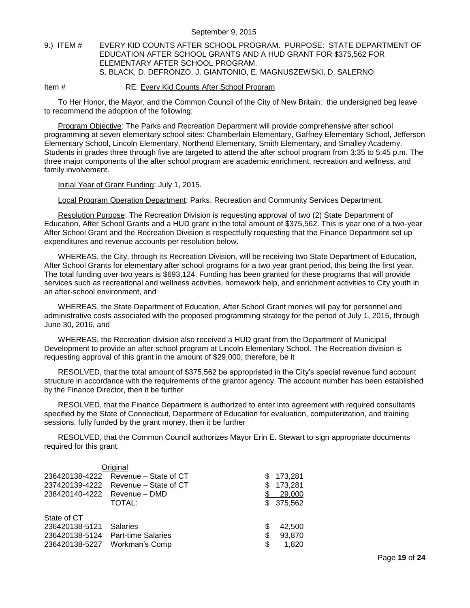<span id="page-18-0"></span>9.) ITEM # EVERY KID COUNTS AFTER SCHOOL PROGRAM. PURPOSE: STATE DEPARTMENT OF EDUCATION AFTER SCHOOL GRANTS AND A HUD GRANT FOR \$375,562 FOR ELEMENTARY AFTER SCHOOL PROGRAM. S. BLACK, D. DEFRONZO, J. GIANTONIO, E. MAGNUSZEWSKI, D. SALERNO

#### Item # RE: Every Kid Counts After School Program

To Her Honor, the Mayor, and the Common Council of the City of New Britain: the undersigned beg leave to recommend the adoption of the following:

Program Objective: The Parks and Recreation Department will provide comprehensive after school programming at seven elementary school sites: Chamberlain Elementary, Gaffney Elementary School, Jefferson Elementary School, Lincoln Elementary, Northend Elementary, Smith Elementary, and Smalley Academy. Students in grades three through five are targeted to attend the after school program from 3:35 to 5:45 p.m. The three major components of the after school program are academic enrichment, recreation and wellness, and family involvement.

Initial Year of Grant Funding: July 1, 2015.

Local Program Operation Department: Parks, Recreation and Community Services Department.

Resolution Purpose: The Recreation Division is requesting approval of two (2) State Department of Education, After School Grants and a HUD grant in the total amount of \$375,562. This is year one of a two-year After School Grant and the Recreation Division is respectfully requesting that the Finance Department set up expenditures and revenue accounts per resolution below.

WHEREAS, the City, through its Recreation Division, will be receiving two State Department of Education, After School Grants for elementary after school programs for a two year grant period, this being the first year. The total funding over two years is \$693,124. Funding has been granted for these programs that will provide services such as recreational and wellness activities, homework help, and enrichment activities to City youth in an after-school environment, and

WHEREAS, the State Department of Education, After School Grant monies will pay for personnel and administrative costs associated with the proposed programming strategy for the period of July 1, 2015, through June 30, 2016, and

WHEREAS, the Recreation division also received a HUD grant from the Department of Municipal Development to provide an after school program at Lincoln Elementary School. The Recreation division is requesting approval of this grant in the amount of \$29,000, therefore, be it

RESOLVED, that the total amount of \$375,562 be appropriated in the City's special revenue fund account structure in accordance with the requirements of the grantor agency. The account number has been established by the Finance Director, then it be further

RESOLVED, that the Finance Department is authorized to enter into agreement with required consultants specified by the State of Connecticut, Department of Education for evaluation, computerization, and training sessions, fully funded by the grant money, then it be further

RESOLVED, that the Common Council authorizes Mayor Erin E. Stewart to sign appropriate documents required for this grant.

|                              | Original                             |     |           |
|------------------------------|--------------------------------------|-----|-----------|
|                              | 236420138-4222 Revenue - State of CT | SS. | 173,281   |
|                              | 237420139-4222 Revenue - State of CT | S   | 173,281   |
| 238420140-4222 Revenue - DMD |                                      |     | 29,000    |
|                              | TOTAL:                               |     | \$375,562 |
| State of CT                  |                                      |     |           |
| 236420138-5121               | <b>Salaries</b>                      | S   | 42,500    |
| 236420138-5124               | <b>Part-time Salaries</b>            | \$  | 93,870    |
| 236420138-5227               | Workman's Comp                       | \$  | 1,820     |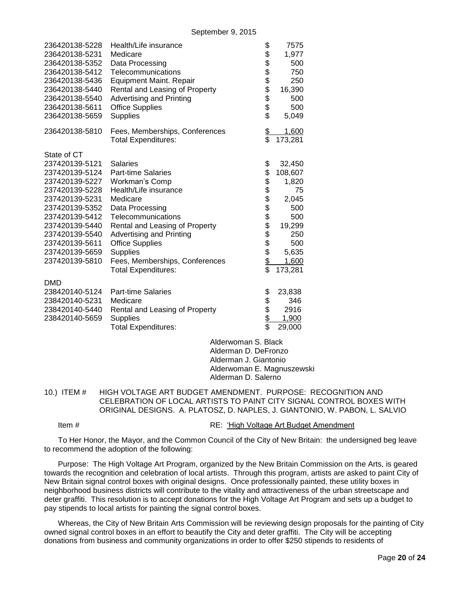| 236420138-5228 | Health/Life insurance             | \$              | 7575    |
|----------------|-----------------------------------|-----------------|---------|
| 236420138-5231 | Medicare                          |                 | 1,977   |
| 236420138-5352 | Data Processing                   |                 | 500     |
| 236420138-5412 | Telecommunications                |                 | 750     |
| 236420138-5436 | Equipment Maint. Repair           |                 | 250     |
| 236420138-5440 | Rental and Leasing of Property    |                 | 16,390  |
| 236420138-5540 | <b>Advertising and Printing</b>   |                 | 500     |
| 236420138-5611 | <b>Office Supplies</b>            | <b>8888888</b>  | 500     |
| 236420138-5659 | <b>Supplies</b>                   | \$              | 5,049   |
| 236420138-5810 | Fees, Memberships, Conferences    |                 | 1,600   |
|                | <b>Total Expenditures:</b>        | \$<br>\$        | 173,281 |
| State of CT    |                                   |                 |         |
| 237420139-5121 | <b>Salaries</b>                   | \$              | 32,450  |
|                | 237420139-5124 Part-time Salaries | \$              | 108,607 |
| 237420139-5227 | Workman's Comp                    |                 | 1,820   |
| 237420139-5228 | Health/Life insurance             |                 | 75      |
| 237420139-5231 | Medicare                          | <b>88888888</b> | 2,045   |
| 237420139-5352 | Data Processing                   |                 | 500     |
| 237420139-5412 | Telecommunications                |                 | 500     |
| 237420139-5440 | Rental and Leasing of Property    |                 | 19,299  |
| 237420139-5540 | <b>Advertising and Printing</b>   |                 | 250     |
| 237420139-5611 | <b>Office Supplies</b>            |                 | 500     |
| 237420139-5659 | <b>Supplies</b>                   |                 | 5,635   |
| 237420139-5810 | Fees, Memberships, Conferences    | \$              | 1,600   |
|                | <b>Total Expenditures:</b>        | \$              | 173,281 |
| <b>DMD</b>     |                                   |                 |         |
| 238420140-5124 | <b>Part-time Salaries</b>         | \$              | 23,838  |
| 238420140-5231 | Medicare                          | \$              | 346     |
| 238420140-5440 | Rental and Leasing of Property    |                 | 2916    |
| 238420140-5659 | <b>Supplies</b>                   | \$<br>\$        | 1,900   |
|                | <b>Total Expenditures:</b>        |                 | 29,000  |

Alderwoman S. Black Alderman D. DeFronzo Alderman J. Giantonio Alderwoman E. Magnuszewski Alderman D. Salerno

<span id="page-19-0"></span>10.) ITEM # HIGH VOLTAGE ART BUDGET AMENDMENT. PURPOSE: RECOGNITION AND CELEBRATION OF LOCAL ARTISTS TO PAINT CITY SIGNAL CONTROL BOXES WITH ORIGINAL DESIGNS. A. PLATOSZ, D. NAPLES, J. GIANTONIO, W. PABON, L. SALVIO

#### Item # RE: 'High Voltage Art Budget Amendment

To Her Honor, the Mayor, and the Common Council of the City of New Britain: the undersigned beg leave to recommend the adoption of the following:

Purpose: The High Voltage Art Program, organized by the New Britain Commission on the Arts, is geared towards the recognition and celebration of local artists. Through this program, artists are asked to paint City of New Britain signal control boxes with original designs. Once professionally painted, these utility boxes in neighborhood business districts will contribute to the vitality and attractiveness of the urban streetscape and deter graffiti. This resolution is to accept donations for the High Voltage Art Program and sets up a budget to pay stipends to local artists for painting the signal control boxes.

Whereas, the City of New Britain Arts Commission will be reviewing design proposals for the painting of City owned signal control boxes in an effort to beautify the City and deter graffiti. The City will be accepting donations from business and community organizations in order to offer \$250 stipends to residents of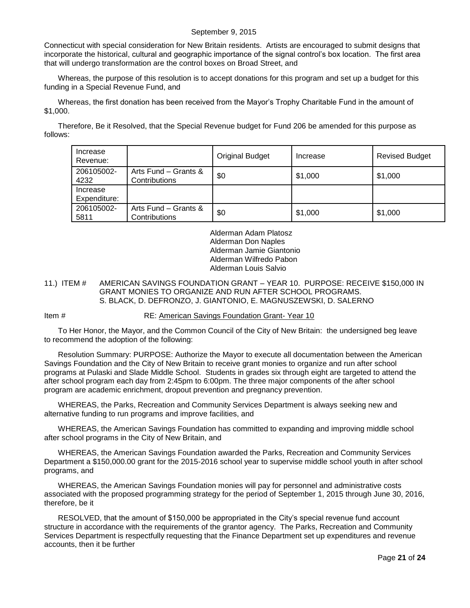Connecticut with special consideration for New Britain residents. Artists are encouraged to submit designs that incorporate the historical, cultural and geographic importance of the signal control's box location. The first area that will undergo transformation are the control boxes on Broad Street, and

Whereas, the purpose of this resolution is to accept donations for this program and set up a budget for this funding in a Special Revenue Fund, and

Whereas, the first donation has been received from the Mayor's Trophy Charitable Fund in the amount of \$1,000.

Therefore, Be it Resolved, that the Special Revenue budget for Fund 206 be amended for this purpose as follows:

| Increase<br>Revenue:     |                                       | <b>Original Budget</b> | Increase | <b>Revised Budget</b> |
|--------------------------|---------------------------------------|------------------------|----------|-----------------------|
| 206105002-<br>4232       | Arts Fund – Grants &<br>Contributions | \$0                    | \$1,000  | \$1,000               |
| Increase<br>Expenditure: |                                       |                        |          |                       |
| 206105002-<br>5811       | Arts Fund - Grants &<br>Contributions | \$0                    | \$1,000  | \$1,000               |

Alderman Adam Platosz Alderman Don Naples Alderman Jamie Giantonio Alderman Wilfredo Pabon Alderman Louis Salvio

<span id="page-20-0"></span>11.) ITEM # AMERICAN SAVINGS FOUNDATION GRANT – YEAR 10. PURPOSE: RECEIVE \$150,000 IN GRANT MONIES TO ORGANIZE AND RUN AFTER SCHOOL PROGRAMS. S. BLACK, D. DEFRONZO, J. GIANTONIO, E. MAGNUSZEWSKI, D. SALERNO

Item # RE: American Savings Foundation Grant- Year 10

To Her Honor, the Mayor, and the Common Council of the City of New Britain: the undersigned beg leave to recommend the adoption of the following:

Resolution Summary: PURPOSE: Authorize the Mayor to execute all documentation between the American Savings Foundation and the City of New Britain to receive grant monies to organize and run after school programs at Pulaski and Slade Middle School. Students in grades six through eight are targeted to attend the after school program each day from 2:45pm to 6:00pm. The three major components of the after school program are academic enrichment, dropout prevention and pregnancy prevention.

WHEREAS, the Parks, Recreation and Community Services Department is always seeking new and alternative funding to run programs and improve facilities, and

WHEREAS, the American Savings Foundation has committed to expanding and improving middle school after school programs in the City of New Britain, and

WHEREAS, the American Savings Foundation awarded the Parks, Recreation and Community Services Department a \$150,000.00 grant for the 2015-2016 school year to supervise middle school youth in after school programs, and

WHEREAS, the American Savings Foundation monies will pay for personnel and administrative costs associated with the proposed programming strategy for the period of September 1, 2015 through June 30, 2016, therefore, be it

RESOLVED, that the amount of \$150,000 be appropriated in the City's special revenue fund account structure in accordance with the requirements of the grantor agency. The Parks, Recreation and Community Services Department is respectfully requesting that the Finance Department set up expenditures and revenue accounts, then it be further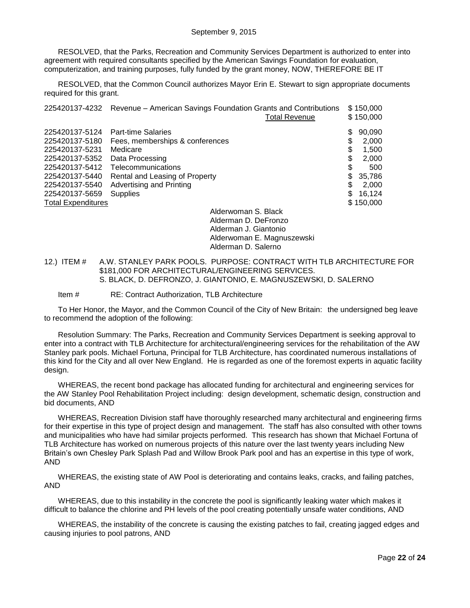RESOLVED, that the Parks, Recreation and Community Services Department is authorized to enter into agreement with required consultants specified by the American Savings Foundation for evaluation, computerization, and training purposes, fully funded by the grant money, NOW, THEREFORE BE IT

RESOLVED, that the Common Council authorizes Mayor Erin E. Stewart to sign appropriate documents required for this grant.

|                           | 225420137-4232 Revenue - American Savings Foundation Grants and Contributions | <b>Total Revenue</b>       | \$150,000<br>\$150,000 |
|---------------------------|-------------------------------------------------------------------------------|----------------------------|------------------------|
| 225420137-5124            | <b>Part-time Salaries</b>                                                     |                            | \$<br>90,090           |
| 225420137-5180            | Fees, memberships & conferences                                               |                            | \$<br>2,000            |
| 225420137-5231            | Medicare                                                                      |                            | \$<br>1,500            |
| 225420137-5352            | Data Processing                                                               |                            | \$<br>2,000            |
| 225420137-5412            | Telecommunications                                                            |                            | \$<br>500              |
| 225420137-5440            | Rental and Leasing of Property                                                |                            | \$<br>35,786           |
| 225420137-5540            | Advertising and Printing                                                      |                            | \$<br>2.000            |
| 225420137-5659            | <b>Supplies</b>                                                               |                            | \$<br>16.124           |
| <b>Total Expenditures</b> |                                                                               |                            | \$150,000              |
|                           |                                                                               | Alderwoman S. Black        |                        |
|                           |                                                                               | Alderman D. DeFronzo       |                        |
|                           |                                                                               | Alderman J. Giantonio      |                        |
|                           |                                                                               | Alderwoman E. Magnuszewski |                        |

<span id="page-21-0"></span>12.) ITEM # A.W. STANLEY PARK POOLS. PURPOSE: CONTRACT WITH TLB ARCHITECTURE FOR \$181,000 FOR ARCHITECTURAL/ENGINEERING SERVICES. S. BLACK, D. DEFRONZO, J. GIANTONIO, E. MAGNUSZEWSKI, D. SALERNO

Alderman D. Salerno

Item # RE: Contract Authorization, TLB Architecture

To Her Honor, the Mayor, and the Common Council of the City of New Britain: the undersigned beg leave to recommend the adoption of the following:

Resolution Summary: The Parks, Recreation and Community Services Department is seeking approval to enter into a contract with TLB Architecture for architectural/engineering services for the rehabilitation of the AW Stanley park pools. Michael Fortuna, Principal for TLB Architecture, has coordinated numerous installations of this kind for the City and all over New England. He is regarded as one of the foremost experts in aquatic facility design.

WHEREAS, the recent bond package has allocated funding for architectural and engineering services for the AW Stanley Pool Rehabilitation Project including: design development, schematic design, construction and bid documents, AND

WHEREAS, Recreation Division staff have thoroughly researched many architectural and engineering firms for their expertise in this type of project design and management. The staff has also consulted with other towns and municipalities who have had similar projects performed. This research has shown that Michael Fortuna of TLB Architecture has worked on numerous projects of this nature over the last twenty years including New Britain's own Chesley Park Splash Pad and Willow Brook Park pool and has an expertise in this type of work, AND

WHEREAS, the existing state of AW Pool is deteriorating and contains leaks, cracks, and failing patches, AND

WHEREAS, due to this instability in the concrete the pool is significantly leaking water which makes it difficult to balance the chlorine and PH levels of the pool creating potentially unsafe water conditions, AND

WHEREAS, the instability of the concrete is causing the existing patches to fail, creating jagged edges and causing injuries to pool patrons, AND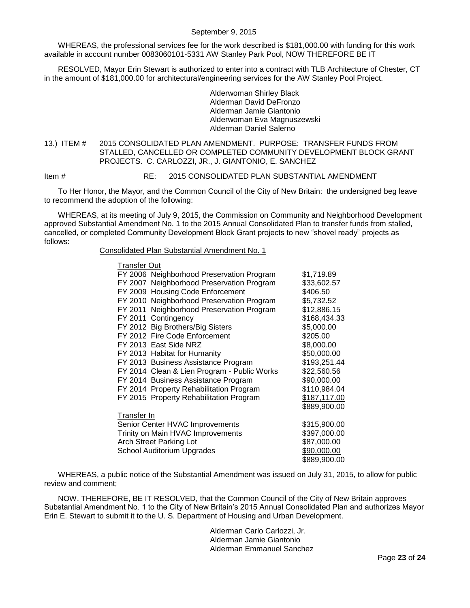WHEREAS, the professional services fee for the work described is \$181,000.00 with funding for this work available in account number 0083060101-5331 AW Stanley Park Pool, NOW THEREFORE BE IT

RESOLVED, Mayor Erin Stewart is authorized to enter into a contract with TLB Architecture of Chester, CT in the amount of \$181,000.00 for architectural/engineering services for the AW Stanley Pool Project.

> Alderwoman Shirley Black Alderman David DeFronzo Alderman Jamie Giantonio Alderwoman Eva Magnuszewski Alderman Daniel Salerno

<span id="page-22-0"></span>13.) ITEM # 2015 CONSOLIDATED PLAN AMENDMENT. PURPOSE: TRANSFER FUNDS FROM STALLED, CANCELLED OR COMPLETED COMMUNITY DEVELOPMENT BLOCK GRANT PROJECTS. C. CARLOZZI, JR., J. GIANTONIO, E. SANCHEZ

Item # RE: 2015 CONSOLIDATED PLAN SUBSTANTIAL AMENDMENT

To Her Honor, the Mayor, and the Common Council of the City of New Britain: the undersigned beg leave to recommend the adoption of the following:

WHEREAS, at its meeting of July 9, 2015, the Commission on Community and Neighborhood Development approved Substantial Amendment No. 1 to the 2015 Annual Consolidated Plan to transfer funds from stalled, cancelled, or completed Community Development Block Grant projects to new "shovel ready" projects as follows:

Consolidated Plan Substantial Amendment No. 1

| <b>Transfer Out</b>                         |              |
|---------------------------------------------|--------------|
| FY 2006 Neighborhood Preservation Program   | \$1,719.89   |
| FY 2007 Neighborhood Preservation Program   | \$33,602.57  |
| FY 2009 Housing Code Enforcement            | \$406.50     |
| FY 2010 Neighborhood Preservation Program   | \$5,732.52   |
| FY 2011 Neighborhood Preservation Program   | \$12,886.15  |
| FY 2011 Contingency                         | \$168,434.33 |
| FY 2012 Big Brothers/Big Sisters            | \$5,000.00   |
| FY 2012 Fire Code Enforcement               | \$205.00     |
| FY 2013 East Side NRZ                       | \$8,000.00   |
| FY 2013 Habitat for Humanity                | \$50,000.00  |
| FY 2013 Business Assistance Program         | \$193,251.44 |
| FY 2014 Clean & Lien Program - Public Works | \$22,560.56  |
| FY 2014 Business Assistance Program         | \$90,000.00  |
| FY 2014 Property Rehabilitation Program     | \$110,984.04 |
| FY 2015 Property Rehabilitation Program     | \$187,117.00 |
|                                             | \$889,900.00 |
| Transfer In                                 |              |
| Senior Center HVAC Improvements             | \$315,900.00 |
| Trinity on Main HVAC Improvements           | \$397,000.00 |
| <b>Arch Street Parking Lot</b>              | \$87,000.00  |
| School Auditorium Upgrades                  | \$90,000.00  |
|                                             | \$889.900.00 |

WHEREAS, a public notice of the Substantial Amendment was issued on July 31, 2015, to allow for public review and comment;

NOW, THEREFORE, BE IT RESOLVED, that the Common Council of the City of New Britain approves Substantial Amendment No. 1 to the City of New Britain's 2015 Annual Consolidated Plan and authorizes Mayor Erin E. Stewart to submit it to the U. S. Department of Housing and Urban Development.

> Alderman Carlo Carlozzi, Jr. Alderman Jamie Giantonio Alderman Emmanuel Sanchez